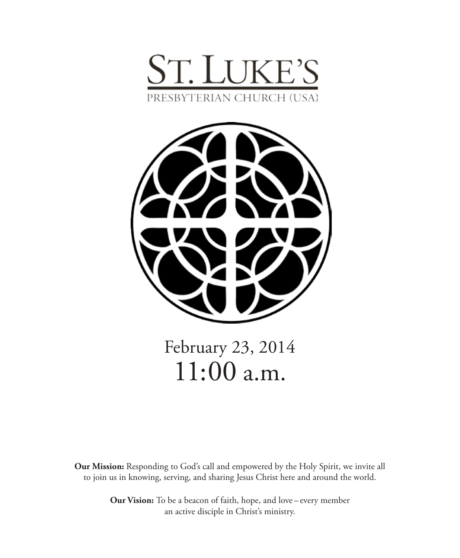



# February 23, 2014 11:00 a.m.

**Our Mission:** Responding to God's call and empowered by the Holy Spirit, we invite all to join us in knowing, serving, and sharing Jesus Christ here and around the world.

> **Our Vision:** To be a beacon of faith, hope, and love – every member an active disciple in Christ's ministry.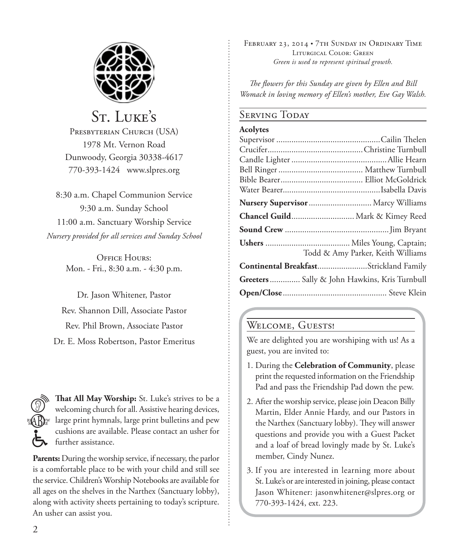

## St. Luke's

PRESBYTERIAN CHURCH (USA) 1978 Mt. Vernon Road Dunwoody, Georgia 30338-4617 770-393-1424 www.slpres.org

8:30 a.m. Chapel Communion Service 9:30 a.m. Sunday School 11:00 a.m. Sanctuary Worship Service *Nursery provided for all services and Sunday School*

> OFFICE HOURS: Mon. - Fri., 8:30 a.m. - 4:30 p.m.

Dr. Jason Whitener, Pastor Rev. Shannon Dill, Associate Pastor Rev. Phil Brown, Associate Pastor Dr. E. Moss Robertson, Pastor Emeritus

**That All May Worship:** St. Luke's strives to be a welcoming church for all. Assistive hearing devices, large print hymnals, large print bulletins and pew cushions are available. Please contact an usher for further assistance.

**Parents:** During the worship service, if necessary, the parlor is a comfortable place to be with your child and still see the service. Children's Worship Notebooks are available for all ages on the shelves in the Narthex (Sanctuary lobby), along with activity sheets pertaining to today's scripture. An usher can assist you.

FEBRUARY 23, 2014 • 7TH SUNDAY IN ORDINARY TIME Liturgical Color: Green *Green is used to represent spiritual growth.* 

*The flowers for this Sunday are given by Ellen and Bill Womack in loving memory of Ellen's mother, Eve Gay Walsh.*

#### Serving Today

#### **Acolytes**

| Nursery Supervisor  Marcy Williams                  |
|-----------------------------------------------------|
| Chancel Guild Mark & Kimey Reed                     |
|                                                     |
|                                                     |
| Todd & Amy Parker, Keith Williams                   |
| Continental BreakfastStrickland Family              |
| <b>Greeters</b> Sally & John Hawkins, Kris Turnbull |
|                                                     |

### WELCOME, GUESTS!

We are delighted you are worshiping with us! As a guest, you are invited to:

- 1. During the **Celebration of Community**, please print the requested information on the Friendship Pad and pass the Friendship Pad down the pew.
- 2. After the worship service, please join Deacon Billy Martin, Elder Annie Hardy, and our Pastors in the Narthex (Sanctuary lobby). They will answer questions and provide you with a Guest Packet and a loaf of bread lovingly made by St. Luke's member, Cindy Nunez.
- 3. If you are interested in learning more about St. Luke's or are interested in joining, please contact Jason Whitener: jasonwhitener@slpres.org or 770-393-1424, ext. 223.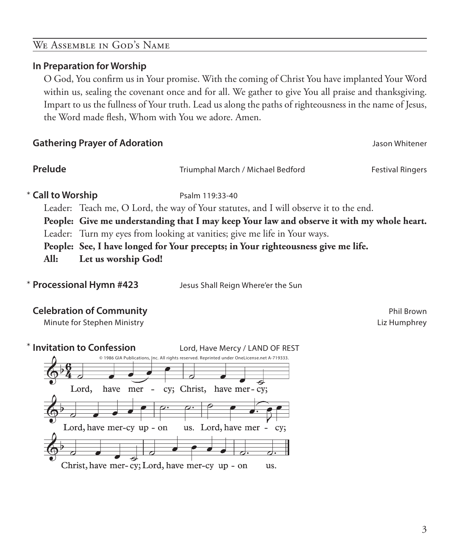#### We Assemble in God's Name

#### **In Preparation for Worship**

 O God, You confirm us in Your promise. With the coming of Christ You have implanted Your Word within us, sealing the covenant once and for all. We gather to give You all praise and thanksgiving. Impart to us the fullness of Your truth. Lead us along the paths of righteousness in the name of Jesus, the Word made flesh, Whom with You we adore. Amen.

#### **Gathering Prayer of Adoration Jason Whitener**

**Prelude** Triumphal March / Michael Bedford Festival Ringers

\* Call to Worship **Psalm 119:33-40** 

Leader: Teach me, O Lord, the way of Your statutes, and I will observe it to the end.

**People: Give me understanding that I may keep Your law and observe it with my whole heart.**

Leader: Turn my eyes from looking at vanities; give me life in Your ways.

**People: See, I have longed for Your precepts; in Your righteousness give me life.**

**All: Let us worship God!**

\*

**Processional Hymn #423** Jesus Shall Reign Where'er the Sun

#### **Celebration of Community Phil Brown**

Minute for Stephen Ministry **Liz Humphrey** Liz Humphrey

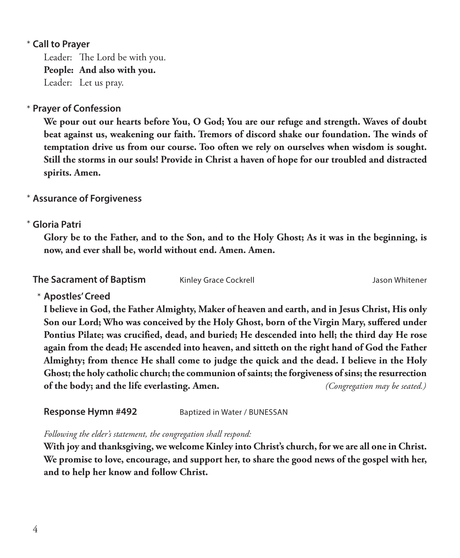#### **Call to Prayer**  \*

Leader: The Lord be with you. **People: And also with you.** Leader: Let us pray.

### **Prayer of Confession**  \*

 **We pour out our hearts before You, O God; You are our refuge and strength. Waves of doubt beat against us, weakening our faith. Tremors of discord shake our foundation. The winds of temptation drive us from our course. Too often we rely on ourselves when wisdom is sought. Still the storms in our souls! Provide in Christ a haven of hope for our troubled and distracted spirits. Amen.**

#### **Assurance of Forgiveness** \*

#### **Gloria Patri** \*

 **Glory be to the Father, and to the Son, and to the Holy Ghost; As it was in the beginning, is now, and ever shall be, world without end. Amen. Amen.**

**The Sacrament of Baptism** Kinley Grace Cockrell **Communist Constructs** Jason Whitener

**Apostles' Creed** \*

 **I believe in God, the Father Almighty, Maker of heaven and earth, and in Jesus Christ, His only Son our Lord; Who was conceived by the Holy Ghost, born of the Virgin Mary, suffered under Pontius Pilate; was crucified, dead, and buried; He descended into hell; the third day He rose again from the dead; He ascended into heaven, and sitteth on the right hand of God the Father Almighty; from thence He shall come to judge the quick and the dead. I believe in the Holy Ghost; the holy catholic church; the communion of saints; the forgiveness of sins; the resurrection of the body; and the life everlasting. Amen.** *(Congregation may be seated.)*

**Response Hymn #492** Baptized in Water / BUNESSAN

*Following the elder's statement, the congregation shall respond:*

 **With joy and thanksgiving, we welcome Kinley into Christ's church, for we are all one in Christ. We promise to love, encourage, and support her, to share the good news of the gospel with her, and to help her know and follow Christ.**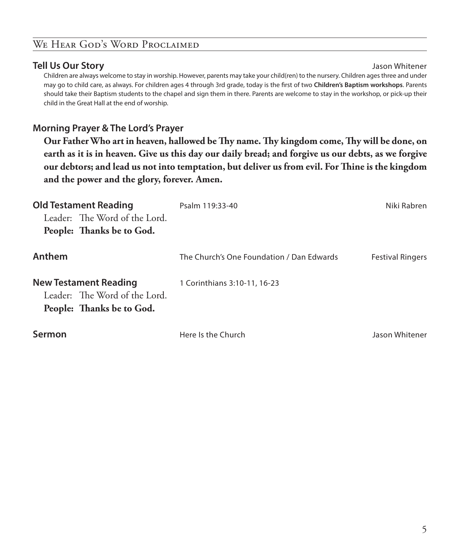#### WE HEAR GOD'S WORD PROCLAIMED

#### **Tell Us Our Story** Jason Whitener

 Children are always welcome to stay in worship. However, parents may take your child(ren) to the nursery. Children ages three and under may go to child care, as always. For children ages 4 through 3rd grade, today is the first of two **Children's Baptism workshops**. Parents should take their Baptism students to the chapel and sign them in there. Parents are welcome to stay in the workshop, or pick-up their child in the Great Hall at the end of worship.

#### **Morning Prayer & The Lord's Prayer**

 **Our Father Who art in heaven, hallowed be Thy name. Thy kingdom come, Thy will be done, on earth as it is in heaven. Give us this day our daily bread; and forgive us our debts, as we forgive our debtors; and lead us not into temptation, but deliver us from evil. For Thine is the kingdom and the power and the glory, forever. Amen.**

| <b>Old Testament Reading</b><br>Leader: The Word of the Lord.<br>People: Thanks be to God. | Psalm 119:33-40                           | Niki Rabren             |
|--------------------------------------------------------------------------------------------|-------------------------------------------|-------------------------|
| Anthem                                                                                     | The Church's One Foundation / Dan Edwards | <b>Festival Ringers</b> |
| <b>New Testament Reading</b><br>Leader: The Word of the Lord.<br>People: Thanks be to God. | 1 Corinthians 3:10-11, 16-23              |                         |
| Sermon                                                                                     | Here Is the Church                        | Jason Whitener          |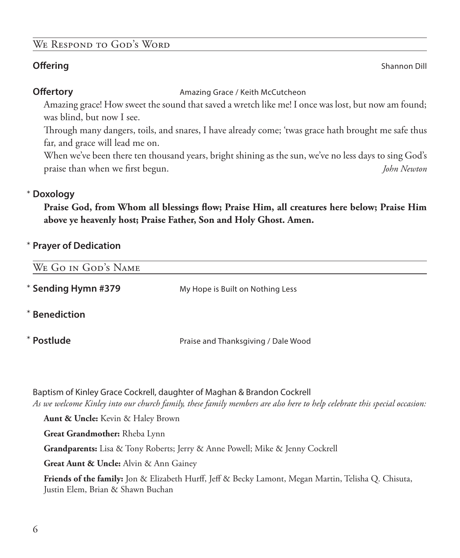#### We Respond to God's Word

**Offering** Shannon Dill

**Offertory Amazing Grace / Keith McCutcheon** 

 Amazing grace! How sweet the sound that saved a wretch like me! I once was lost, but now am found; was blind, but now I see.

 Through many dangers, toils, and snares, I have already come; 'twas grace hath brought me safe thus far, and grace will lead me on.

 When we've been there ten thousand years, bright shining as the sun, we've no less days to sing God's praise than when we first begun. *John Newton*

### **Doxology** \*

 **Praise God, from Whom all blessings flow; Praise Him, all creatures here below; Praise Him above ye heavenly host; Praise Father, Son and Holy Ghost. Amen.**

### **Prayer of Dedication** \*

| WE GO IN GOD'S NAME  |                                     |
|----------------------|-------------------------------------|
| * Sending Hymn #379  | My Hope is Built on Nothing Less    |
| <b>*</b> Benediction |                                     |
| * Postlude           | Praise and Thanksgiving / Dale Wood |

Baptism of Kinley Grace Cockrell, daughter of Maghan & Brandon Cockrell *As we welcome Kinley into our church family, these family members are also here to help celebrate this special occasion:*

**Aunt & Uncle:** Kevin & Haley Brown

**Great Grandmother:** Rheba Lynn

**Grandparents:** Lisa & Tony Roberts; Jerry & Anne Powell; Mike & Jenny Cockrell

**Great Aunt & Uncle:** Alvin & Ann Gainey

**Friends of the family:** Jon & Elizabeth Hurff, Jeff & Becky Lamont, Megan Martin, Telisha Q. Chisuta, Justin Elem, Brian & Shawn Buchan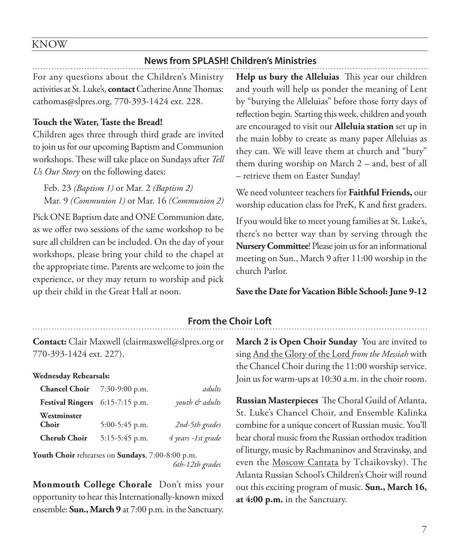#### KNOW

#### **News from SPLASH! Children's Ministries**

For any questions about the Children's Ministry activities at St. Luke's, **contact** Catherine Anne Thomas: cathomas@slpres.org, 770-393-1424 ext. 228.

#### **Touch the Water, Taste the Bread!**

Children ages three through third grade are invited to join us for our upcoming Baptism and Communion workshops. These will take place on Sundays after *Tell Us Our Story* on the following dates:

Feb. 23 *(Baptism 1)* or Mar. 2 *(Baptism 2)* Mar. 9 *(Communion 1)* or Mar. 16 *(Communion 2)*

Pick ONE Baptism date and ONE Communion date, as we offer two sessions of the same workshop to be sure all children can be included. On the day of your workshops, please bring your child to the chapel at the appropriate time. Parents are welcome to join the experience, or they may return to worship and pick up their child in the Great Hall at noon.

**Help us bury the Alleluias** This year our children and youth will help us ponder the meaning of Lent by "burying the Alleluias" before those forty days of reflection begin. Starting this week, children and youth are encouraged to visit our **Alleluia station** set up in the main lobby to create as many paper Alleluias as they can. We will leave them at church and "bury" them during worship on March 2 – and, best of all – retrieve them on Easter Sunday!

We need volunteer teachers for **Faithful Friends,** our worship education class for PreK, K and first graders.

If you would like to meet young families at St. Luke's, there's no better way than by serving through the **Nursery Committee**! Please join us for an informational meeting on Sun., March 9 after 11:00 worship in the church Parlor.

#### **Save the Date for Vacation Bible School: June 9-12**

#### **From the Choir Loft**

**Contact:** Clair Maxwell (clairmaxwell@slpres.org or 770-393-1424 ext. 227).

#### **Wednesday Rehearsals:**

| <b>Chancel Choir</b> $7:30-9:00$ p.m. |                  | adults             |
|---------------------------------------|------------------|--------------------|
| Festival Ringers 6:15-7:15 p.m.       |                  | youth & adults     |
| Westminster                           |                  |                    |
| Choir                                 | $5:00-5:45$ p.m. | 2nd-5th grades     |
| <b>Cherub Choir</b>                   | $5:15-5:45$ p.m. | 4 years -1st grade |

**Youth Choir** rehearses on **Sundays**, 7:00-8:00 p.m. *6th-12th grades*

**Monmouth College Chorale** Don't miss your opportunity to hear this Internationally-known mixed ensemble: **Sun., March 9** at 7:00 p.m. in the Sanctuary.

**March 2 is Open Choir Sunday** You are invited to sing And the Glory of the Lord *from the Messiah* with the Chancel Choir during the 11:00 worship service. Join us for warm-ups at 10:30 a.m. in the choir room.

**Russian Masterpieces** The Choral Guild of Atlanta, St. Luke's Chancel Choir, and Ensemble Kalinka combine for a unique concert of Russian music. You'll hear choral music from the Russian orthodox tradition of liturgy, music by Rachmaninov and Stravinsky, and even the Moscow Cantata by Tchaikovsky). The Atlanta Russian School's Children's Choir will round out this exciting program of music. **Sun., March 16, at 4:00 p.m.** in the Sanctuary.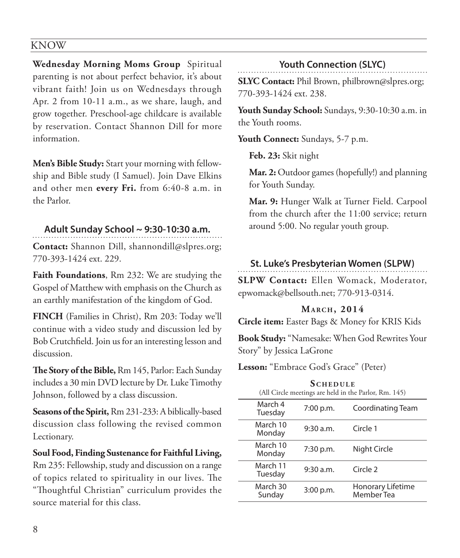#### KNOW

**Wednesday Morning Moms Group** Spiritual parenting is not about perfect behavior, it's about vibrant faith! Join us on Wednesdays through Apr. 2 from 10-11 a.m., as we share, laugh, and grow together. Preschool-age childcare is available by reservation. Contact Shannon Dill for more information.

**Men's Bible Study:** Start your morning with fellowship and Bible study (I Samuel). Join Dave Elkins and other men **every Fri.** from 6:40-8 a.m. in the Parlor.

#### **Adult Sunday School ~ 9:30-10:30 a.m.**

**Contact:** Shannon Dill, shannondill@slpres.org; 770-393-1424 ext. 229.

**Faith Foundations**, Rm 232: We are studying the Gospel of Matthew with emphasis on the Church as an earthly manifestation of the kingdom of God.

**FINCH** (Families in Christ), Rm 203: Today we'll continue with a video study and discussion led by Bob Crutchfield. Join us for an interesting lesson and discussion.

**The Story of the Bible,** Rm 145, Parlor: Each Sunday includes a 30 min DVD lecture by Dr. Luke Timothy Johnson, followed by a class discussion.

**Seasons of the Spirit,** Rm 231-233: A biblically-based discussion class following the revised common Lectionary.

**Soul Food, Finding Sustenance for Faithful Living,** Rm 235: Fellowship, study and discussion on a range of topics related to spirituality in our lives. The "Thoughtful Christian" curriculum provides the source material for this class.

#### **Youth Connection (SLYC)**

**SLYC Contact:** Phil Brown, philbrown@slpres.org; 770-393-1424 ext. 238.

**Youth Sunday School:** Sundays, 9:30-10:30 a.m. in the Youth rooms.

**Youth Connect:** Sundays, 5-7 p.m.

**Feb. 23:** Skit night

 **Mar. 2:** Outdoor games (hopefully!) and planning for Youth Sunday.

 **Mar. 9:** Hunger Walk at Turner Field. Carpool from the church after the 11:00 service; return around 5:00. No regular youth group.

#### **St. Luke's Presbyterian Women (SLPW)**

**SLPW Contact:** Ellen Womack, Moderator, epwomack@bellsouth.net; 770-913-0314.

#### **Ma r c h , 2014**

**Circle item:** Easter Bags & Money for KRIS Kids

**Book Study:** "Namesake: When God Rewrites Your Story" by Jessica LaGrone

**Lesson:** "Embrace God's Grace" (Peter)

| <b>SCHEDULE</b><br>(All Circle meetings are held in the Parlor, Rm. 145) |             |                                 |  |
|--------------------------------------------------------------------------|-------------|---------------------------------|--|
| March 4<br>Tuesday                                                       | 7:00 p.m.   | Coordinating Team               |  |
| March 10<br>Monday                                                       | 9:30 a.m.   | Circle 1                        |  |
| March 10<br>Monday                                                       | $7:30$ p.m. | Night Circle                    |  |
| March 11<br>Tuesday                                                      | 9:30 a.m.   | Circle 2                        |  |
| March 30<br>Sunday                                                       | 3:00 p.m.   | Honorary Lifetime<br>Member Tea |  |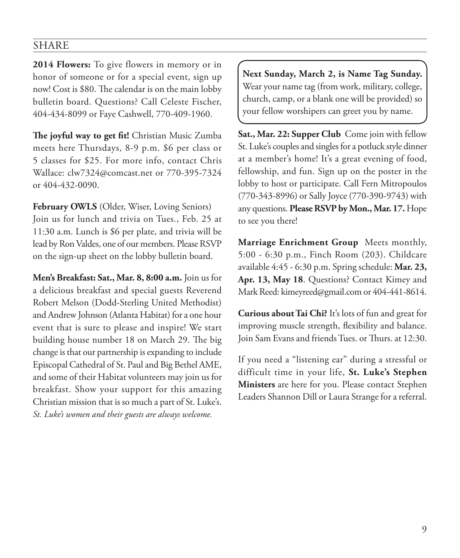#### SHARE

**2014 Flowers:** To give flowers in memory or in honor of someone or for a special event, sign up now! Cost is \$80. The calendar is on the main lobby bulletin board. Questions? Call Celeste Fischer, 404-434-8099 or Faye Cashwell, 770-409-1960.

**The joyful way to get fit!** Christian Music Zumba meets here Thursdays, 8-9 p.m. \$6 per class or 5 classes for \$25. For more info, contact Chris Wallace: clw7324@comcast.net or 770-395-7324 or 404-432-0090.

**February OWLS** (Older, Wiser, Loving Seniors) Join us for lunch and trivia on Tues., Feb. 25 at 11:30 a.m. Lunch is \$6 per plate, and trivia will be lead by Ron Valdes, one of our members. Please RSVP on the sign-up sheet on the lobby bulletin board.

**Men's Breakfast: Sat., Mar. 8, 8:00 a.m.** Join us for a delicious breakfast and special guests Reverend Robert Melson (Dodd-Sterling United Methodist) and Andrew Johnson (Atlanta Habitat) for a one hour event that is sure to please and inspire! We start building house number 18 on March 29. The big change is that our partnership is expanding to include Episcopal Cathedral of St. Paul and Big Bethel AME, and some of their Habitat volunteers may join us for breakfast. Show your support for this amazing Christian mission that is so much a part of St. Luke's. *St. Luke's women and their guests are always welcome.*

**Next Sunday, March 2, is Name Tag Sunday.**  Wear your name tag (from work, military, college, church, camp, or a blank one will be provided) so your fellow worshipers can greet you by name.

**Sat., Mar. 22: Supper Club** Come join with fellow St. Luke's couples and singles for a potluck style dinner at a member's home! It's a great evening of food, fellowship, and fun. Sign up on the poster in the lobby to host or participate. Call Fern Mitropoulos (770-343-8996) or Sally Joyce (770-390-9743) with any questions. **Please RSVP by Mon., Mar. 17.** Hope to see you there!

**Marriage Enrichment Group** Meets monthly, 5:00 - 6:30 p.m., Finch Room (203). Childcare available 4:45 - 6:30 p.m. Spring schedule: **Mar. 23, Apr. 13, May 18**. Questions? Contact Kimey and Mark Reed: kimeyreed@gmail.com or 404-441-8614.

**Curious about Tai Chi?** It's lots of fun and great for improving muscle strength, flexibility and balance. Join Sam Evans and friends Tues. or Thurs. at 12:30.

If you need a "listening ear" during a stressful or difficult time in your life, **St. Luke's Stephen Ministers** are here for you. Please contact Stephen Leaders Shannon Dill or Laura Strange for a referral.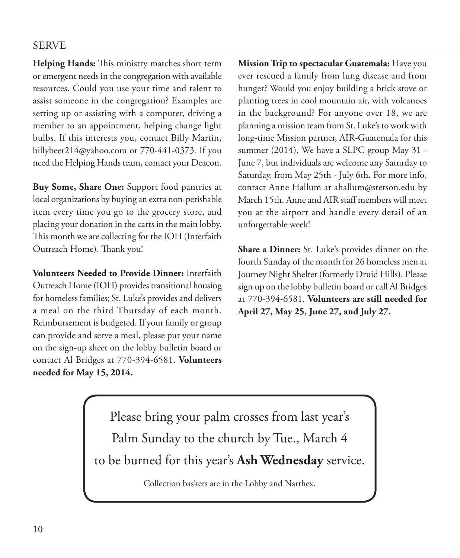#### SERVE

**Helping Hands:** This ministry matches short term or emergent needs in the congregation with available resources. Could you use your time and talent to assist someone in the congregation? Examples are setting up or assisting with a computer, driving a member to an appointment, helping change light bulbs. If this interests you, contact Billy Martin, billybeer214@yahoo.com or 770-441-0373. If you need the Helping Hands team, contact your Deacon.

**Buy Some, Share One:** Support food pantries at local organizations by buying an extra non-perishable item every time you go to the grocery store, and placing your donation in the carts in the main lobby. This month we are collecting for the IOH (Interfaith Outreach Home). Thank you!

**Volunteers Needed to Provide Dinner:** Interfaith Outreach Home (IOH) provides transitional housing for homeless families; St. Luke's provides and delivers a meal on the third Thursday of each month. Reimbursement is budgeted. If your family or group can provide and serve a meal, please put your name on the sign-up sheet on the lobby bulletin board or contact Al Bridges at 770-394-6581. **Volunteers needed for May 15, 2014.**

**Mission Trip to spectacular Guatemala:** Have you ever rescued a family from lung disease and from hunger? Would you enjoy building a brick stove or planting trees in cool mountain air, with volcanoes in the background? For anyone over 18, we are planning a mission team from St. Luke's to work with long-time Mission partner, AIR-Guatemala for this summer (2014). We have a SLPC group May 31 - June 7, but individuals are welcome any Saturday to Saturday, from May 25th - July 6th. For more info, contact Anne Hallum at ahallum@stetson.edu by March 15th. Anne and AIR staff members will meet you at the airport and handle every detail of an unforgettable week!

**Share a Dinner:** St. Luke's provides dinner on the fourth Sunday of the month for 26 homeless men at Journey Night Shelter (formerly Druid Hills). Please sign up on the lobby bulletin board or call Al Bridges at 770-394-6581. **Volunteers are still needed for April 27, May 25, June 27, and July 27.**

Please bring your palm crosses from last year's Palm Sunday to the church by Tue., March 4 to be burned for this year's **Ash Wednesday** service.

Collection baskets are in the Lobby and Narthex.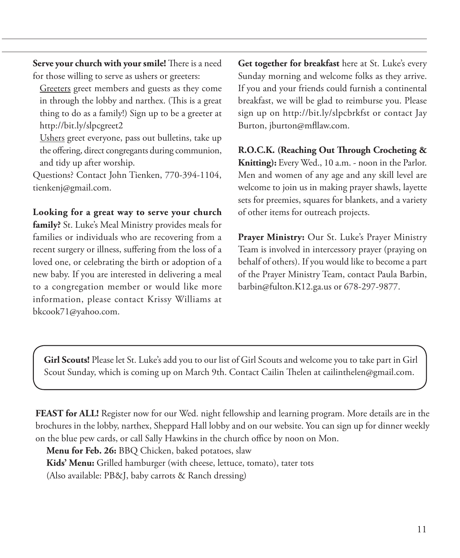**Serve your church with your smile!** There is a need for those willing to serve as ushers or greeters:

Greeters greet members and guests as they come in through the lobby and narthex. (This is a great thing to do as a family!) Sign up to be a greeter at http://bit.ly/slpcgreet2

 Ushers greet everyone, pass out bulletins, take up the offering, direct congregants during communion, and tidy up after worship.

Questions? Contact John Tienken, 770-394-1104, tienkenj@gmail.com.

**Looking for a great way to serve your church family?** St. Luke's Meal Ministry provides meals for families or individuals who are recovering from a recent surgery or illness, suffering from the loss of a loved one, or celebrating the birth or adoption of a new baby. If you are interested in delivering a meal to a congregation member or would like more information, please contact Krissy Williams at bkcook71@yahoo.com.

**Get together for breakfast** here at St. Luke's every Sunday morning and welcome folks as they arrive. If you and your friends could furnish a continental breakfast, we will be glad to reimburse you. Please sign up on http://bit.ly/slpcbrkfst or contact Jay Burton, jburton@mfllaw.com.

**R.O.C.K. (Reaching Out Through Crocheting & Knitting):** Every Wed., 10 a.m. - noon in the Parlor. Men and women of any age and any skill level are welcome to join us in making prayer shawls, layette sets for preemies, squares for blankets, and a variety of other items for outreach projects.

**Prayer Ministry:** Our St. Luke's Prayer Ministry Team is involved in intercessory prayer (praying on behalf of others). If you would like to become a part of the Prayer Ministry Team, contact Paula Barbin, barbin@fulton.K12.ga.us or 678-297-9877.

**Girl Scouts!** Please let St. Luke's add you to our list of Girl Scouts and welcome you to take part in Girl Scout Sunday, which is coming up on March 9th. Contact Cailin Thelen at cailinthelen@gmail.com.

**FEAST for ALL!** Register now for our Wed. night fellowship and learning program. More details are in the brochures in the lobby, narthex, Sheppard Hall lobby and on our website. You can sign up for dinner weekly on the blue pew cards, or call Sally Hawkins in the church office by noon on Mon.

**Menu for Feb. 26:** BBQ Chicken, baked potatoes, slaw

**Kids' Menu:** Grilled hamburger (with cheese, lettuce, tomato), tater tots

(Also available: PB&J, baby carrots & Ranch dressing)